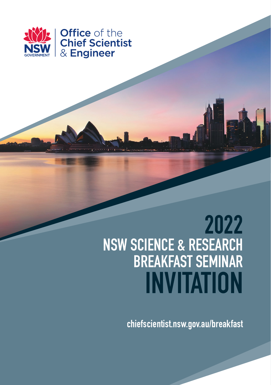

## **2022 NSW SCIENCE & RESEARCH BREAKFAST SEMINAR INVITATION**

**chiefscientist.nsw.gov.au/breakfast**